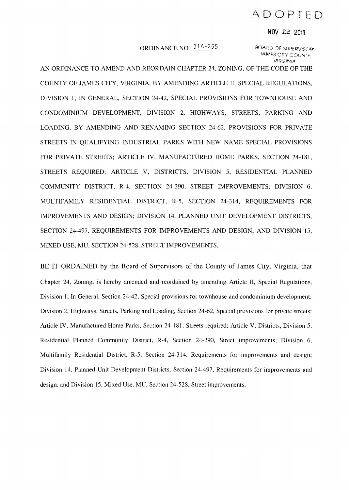# ,L\[)()PTED

#### **NOV** 22 2011

# ORDINANCE NO. 31A-255 30ARD OF SUPERVISORS

JAMES CITY COUNTY **VIRGINIA** 

AN ORDINANCE TO AMEND AND REORDAIN CHAPTER 24, ZONING, OF THE CODE OF THE COUNTY OF JAMES CITY, VIRGINIA, BY AMENDING ARTICLE II, SPECIAL REGULATIONS, DIVISION I, IN GENERAL, SECTION 24-42, SPECIAL PROVISIONS FOR TOWNHOUSE AND CONDOMINIUM DEVELOPMENT; DIVISION 2, HIGHWAYS, STREETS, PARKING AND LOADING, BY AMENDING AND RENAMING SECTION 24-62, PROVISIONS FOR PRIVATE STREETS IN QUALIFYING INDUSTRIAL PARKS WITH NEW NAME SPECIAL PROVISIONS FOR PRIVATE STREETS; ARTICLE IV, MANUFACTURED HOME PARKS, SECTION 24-181, STREETS REQUIRED; ARTICLE V, DISTRICTS, DIVISION 5, RESIDENTIAL PLANNED COMMUNITY DISTRICT, R-4, SECTION 24-290, STREET IMPROVEMENTS; DIVISION 6, MULTIFAMILY RESIDENTIAL DISTRICT, R-5, SECTION 24-314, REQUIREMENTS FOR L\1PROVEMENTS AND DESIGN; DIVISION 14, PLANNED UNIT DEVELOPMENT DISTRICTS, SECTION 24-497, REQUIREMENTS FOR IMPROVEMENTS AND DESIGN; AND DIVISION 15, MIXED USE, MU, SECTION 24-528, STREET IMPROVEMENTS.

BE IT ORDAINED by the Board of Supervisors of the County of James City, Virginia, that Chapter 24. Zoning, is hereby amended and reordained by amending Article II, Special Regulations, Division I, **In** General, Section 24-42, Special provisions for townhouse and condominium development; Division 2, Highways, Streets, Parking and Loading, Section 24-62, Special provisions for private streets; Article IV, Manufactured Home Parks, Section 24-181, Streets required; Article V, Districts, Division 5, Residential Planned Community District, R-4, Section 24-290, Street improvements; Division 6, Multifamily Residential District, R-5, Section 24-314, Requirements for improvements and design; Division 14, Planned Unit Development Districts, Section 24-497, Requirements for improvements and design; and Division 15, Mixed Use, MU, Section 24-528, Street improvements.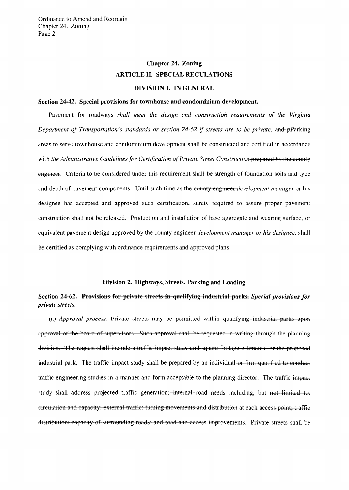# Chapter 24. Zoning ARTICLE II. SPECIAL REGULATIONS DIVISION 1. IN GENERAL

#### Section 24-42. Special provisions for townhouse and condominium development.

Pavement for roadways *shall meet the design and construction requirements of the Virginia Department of Transportation's standards or section* 24-62 if *streets are to be private.* ~Parking areas to serve townhouse and condominium development shall be constructed and certified in accordance with *the Administrative Guidelines for Certification of Private Street Construction-prepared by the county* engineer. Criteria to be considered under this requirement shall be strength of foundation soils and type and depth of pavement components. Until such time as the e<del>qually engineer *development manager*</del> or his designee has accepted and approved such certification, surety required to assure proper pavement construction shall not be released. Production and installation of base aggregate and wearing surface, or equivalent pavement design approved by the county engineer *development manager or his designee,* shall be certified as complying with ordinance requirements and approved plans.

### Division 2. Highways, Streets, Parking and Loading

# Section 24-62. Provisions for private streets in qualifying industrial parks. *Special provisions for private streets.*

(a) *Approval process.* Private streets may be permitted within qualifying industrial parks upon approval of the board of supervisors. Such approval shall be requested in writing through the planning division. The request shall include a traffic impact study and square footage estimates for the proposed industrial park. The traffic impact study shall be prepared by an individual or firm qualified to conduct traffic engineering studies in a manner and form acceptable to the planning director. The traffic impact study shall address projected traffic generation; internal road needs including, but not limited to, circulation and capacity; external traffic; turning movements and distribution at each access point; traffic distribution; capacity of surrounding roads; and road and access improvements. Private streets shall be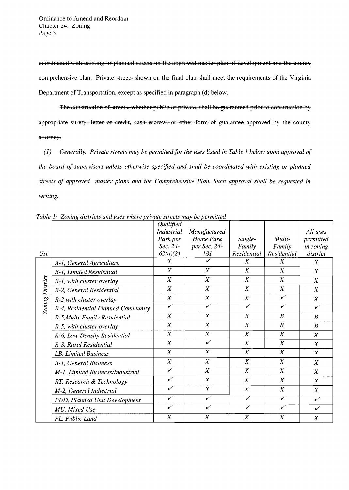coordinated with existing or planned streets on the approved master plan of development and the county comprehensive plan. Private streets shown on the final plan shall meet the requirements of the Virginia Department of Transportation, except as specified in paragraph (d) below.

The construction of streets, whether public or private, shall be guaranteed prior to construction by appropriate surety, letter of credit, cash escrow, or other form of guarantee approved by the county attorney.

*(1) Generally. Private streets may be permitted for the uses listed in Table* 1 *below upon approval of the board of supervisors unless otherwise specified and shall be coordinated with existing or planned streets of approved master plans and the Comprehensive Plan. Such approval shall be requested in writing.* 

|                 |                                    | Qualified               |                         |                         |                  |                  |
|-----------------|------------------------------------|-------------------------|-------------------------|-------------------------|------------------|------------------|
|                 |                                    | <b>Industrial</b>       | Manufactured            |                         |                  | All uses         |
|                 |                                    | Park per                | Home Park               | Single-                 | Multi-           | permitted        |
|                 |                                    | Sec. 24-                | per Sec. 24-            | Family                  | Family           | in zoning        |
| Use             |                                    | 62(a)(2)                | 181                     | Residential             | Residential      | district         |
|                 | A-1, General Agriculture           | $\boldsymbol{X}$        |                         | X                       | $\boldsymbol{X}$ | $\boldsymbol{X}$ |
|                 | R-1, Limited Residential           | $\boldsymbol{X}$        | $\boldsymbol{X}$        | $\boldsymbol{X}$        | $\boldsymbol{X}$ | $\boldsymbol{X}$ |
| Zoning District | R-1, with cluster overlay          | X                       | X                       | $\boldsymbol{X}$        | $\boldsymbol{X}$ | $\boldsymbol{X}$ |
|                 | R-2, General Residential           | $\boldsymbol{X}$        | $\boldsymbol{X}$        | $\boldsymbol{X}$        | $\boldsymbol{X}$ | $\boldsymbol{X}$ |
|                 | R-2 with cluster overlay           | $\overline{X}$          | $\boldsymbol{X}$        | $\boldsymbol{X}$        | ✓                | $\boldsymbol{X}$ |
|                 | R-4, Residential Planned Community | $\overline{\checkmark}$ | $\overline{\checkmark}$ | $\checkmark$            | $\checkmark$     | ✓                |
|                 | R-5, Multi-Family Residential      | $\boldsymbol{X}$        | $\boldsymbol{X}$        | $\boldsymbol{B}$        | $\boldsymbol{B}$ | $\boldsymbol{B}$ |
|                 | R-5, with cluster overlay          | $\boldsymbol{X}$        | $\boldsymbol{X}$        | $\boldsymbol{B}$        | $\boldsymbol{B}$ | $\boldsymbol{B}$ |
|                 | R-6, Low Density Residential       | $\boldsymbol{X}$        | X                       | $\boldsymbol{X}$        | $\boldsymbol{X}$ | $\boldsymbol{X}$ |
|                 | R-8, Rural Residential             | $\boldsymbol{X}$        | ✓                       | $\boldsymbol{X}$        | X                | $\boldsymbol{X}$ |
|                 | LB, Limited Business               | X                       | $\boldsymbol{X}$        | $\boldsymbol{X}$        | $\boldsymbol{X}$ | $\boldsymbol{X}$ |
|                 | B-1, General Business              | $\boldsymbol{X}$        | $\boldsymbol{X}$        | X                       | $\boldsymbol{X}$ | $\boldsymbol{X}$ |
|                 | M-1, Limited Business/Industrial   | ✓                       | $\boldsymbol{X}$        | $\boldsymbol{X}$        | $\boldsymbol{X}$ | $\boldsymbol{X}$ |
|                 | RT, Research & Technology          | ✓                       | $\boldsymbol{X}$        | $\boldsymbol{X}$        | $\boldsymbol{X}$ | $\boldsymbol{X}$ |
|                 | M-2, General Industrial            | ✓                       | $\boldsymbol{X}$        | $\boldsymbol{X}$        | $\boldsymbol{X}$ | X                |
|                 | PUD, Planned Unit Development      | ✓                       | ✓                       | ✓                       | ✓                | $\checkmark$     |
|                 | MU, Mixed Use                      | ✓                       | ✓                       | $\overline{\checkmark}$ | ✓                | ✓                |
|                 | PL, Public Land                    | X                       | X                       | $\boldsymbol{X}$        | $\boldsymbol{X}$ | $\boldsymbol{X}$ |

Table 1: Zoning districts and uses where private streets may be permitted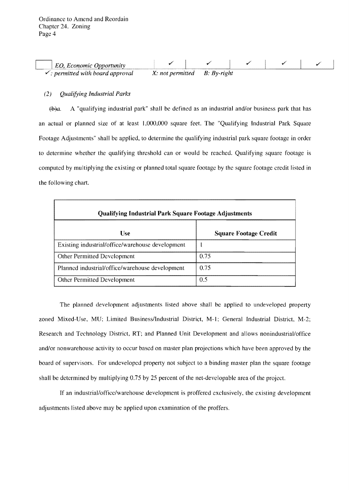| . Economic Opportunity<br>EO.            |                                |  |  |  |
|------------------------------------------|--------------------------------|--|--|--|
| $\prime$ : permitted with board approval | $X: not permitted$ B: By-right |  |  |  |

## *(2) Qualifying Industrial Parks*

 $\theta$ . A "qualifying industrial park" shall be defined as an industrial and/or business park that has an actual or planned size of at least 1,000,000 square feet. The "Qualifying Industrial Park Square Footage Adjustments" shall be applied, to determine the qualifying industrial park square footage in order to determine whether the qualifying threshold can or would be reached. Qualifying square footage is computed by multiplying the existing or planned total square footage by the square footage credit listed in the following chart.

| <b>Qualifying Industrial Park Square Footage Adjustments</b> |                              |  |  |  |  |  |  |
|--------------------------------------------------------------|------------------------------|--|--|--|--|--|--|
| <b>Use</b>                                                   | <b>Square Footage Credit</b> |  |  |  |  |  |  |
| Existing industrial/office/warehouse development             |                              |  |  |  |  |  |  |
| Other Permitted Development                                  | 0.75                         |  |  |  |  |  |  |
| Planned industrial/office/warehouse development              | 0.75                         |  |  |  |  |  |  |
| Other Permitted Development                                  | 0.5                          |  |  |  |  |  |  |

The planned development adjustments listed above shall be applied to undeveloped property zoned Mixed-Use, MU; Limited Business/Industrial District, M-I; General Industrial District, M-2; Research and Technology District, RT; and Planned Unit Development and allows nonindustrial/office and/or nonwarehouse activity to occur based on master plan projections which have been approved by the board of supervisors. For undeveloped property not subject to a binding master plan the square footage shall be determined by multiplying 0.75 by 25 percent of the net-developable area of the project.

If an industrial/office/warehouse development is proffered exclusively, the existing development adjustments listed above may be applied upon examination of the proffers.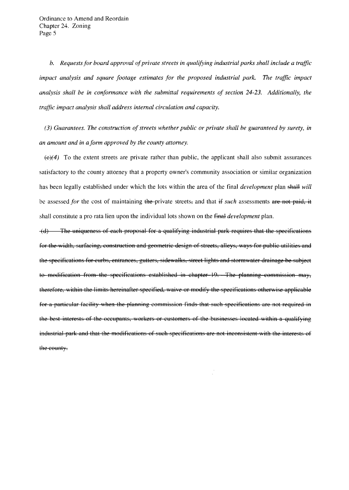*b.* Requests for board approval of private streets in qualifying industrial parks shall include a traffic *impact analysis and square footage estimates for the proposed industrial park.* The *traffic impact analysis shall be in conformance with the submittal requirements of section* 24-23. *Additionally, the traffic impact analysis shall address internal circulation and capacity.* 

(3) Guarantees. The construction of streets whether public or private shall be guaranteed by surety, in *an amount and in a form approved by the county attorney.* 

 $(\epsilon)$ (4) To the extent streets are private rather than public, the applicant shall also submit assurances satisfactory to the county attorney that a property owner's community association or similar organization has been legally established under which the lots within the area of the final *development* plan shall will be assessed *for* the cost of maintaining the-private streets, and that if *such* assessments are not paid, it shall constitute a pro rata lien upon the individual lots shown on the fffial. *development* plan.

(d) The uniqueness of each proposal for a qualifying industrial park requires that the specifications for the width, surfacing, construction and geometric design of streets, alleys, ways for public utilities and the specifications for curbs, entrances, gutters, sidewalks, street lights and stormwater drainage be subject to modification from the specifications established in chapter 19. The planning commission may, therefore, within the limits hereinafter specified, waive or modify the specifications otherwise applicable for a particular facility when the planning commission finds that such specifications are not required in the best interests of the occupants, workers or customers of the businesses located within a qualifying industrial park and that the modifications of such specifications are not inconsistent with the interests of the county.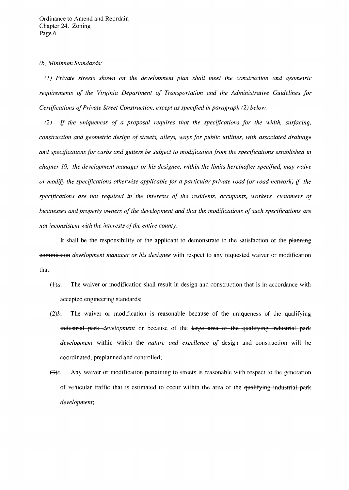#### *(b) Minimum Standards:*

(1) *Private streets shown on the development plan shall meet the construction and geometric requirements of the Virginia Department of Transportation and the Administrative Guidelines for Certifications of Private Street Construction, except as specified in paragraph (2) below.* 

*(2)* If *the uniqueness of a proposal requires that the specifications for the width, surfacing, construction and geometric design of streets, alleys, ways for public utilities, with associated drainage and specifications for curbs and gutters be subject to modification from the specifications established* in *chapter* 19, *the development manager or his designee, within the limits hereinafter specified, may waive or modify the specifications otherwise applicable for a particular private road (or road network) if the specifications are not required in the interests of the residents, occupants. workers, customers of businesses and property owners of the development and that the modifications of such specifications are not inconsistent with the interests of the entire county.* 

It shall be the responsibility of the applicant to demonstrate to the satisfaction of the planning eommission *development manager or his designee* with respect to any requested waiver or modification that:

- $f(A)a$ . The waiver or modification shall result in design and construction that is in accordance with accepted engineering standards;
- $\frac{1}{2}b$ . The waiver or modification is reasonable because of the uniqueness of the qualifying industrial park *development* or because of the large area of the qualifying industrial park *development* within which the *nature and excellence of* design and construction will be coordinated, preplanned and controlled;
- $f(x)$ c. Any waiver or modification pertaining to streets is reasonable with respect to the generation of vehicular traffic that is estimated to occur within the area of the qualifying industrial park *development;*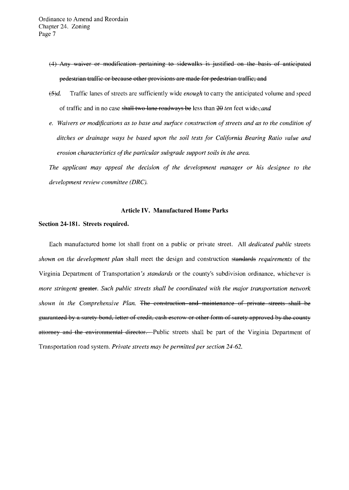- (4) Any waiver or modification pertaining to sidewalks is justified on the basis of anticipated pedestrian traffic or because other provisions are made for pedestrian traffic; and
- f§jd. Traffic lanes of streets are sufficiently wide *enough* to carry the anticipated volume and speed of traffic and in no case shall two lane roadways be less than 20 *ten* feet wide.;*and*
- *e. Waivers or modifications as to base and surface construction of streets and as to the condition of ditches or drainage ways be based upon the soil tests for California Bearing Ratio value and erosion characteristics of the particular subgrade support soils in the area.*

*The applicant may appeal the decision of the development manager or his designee to the development review committee (DRC).* 

### Article IV. Manufactured Home Parks

#### Section 24-181. Streets required.

Each manufactured home lot shall front on a public or private street. All *dedicated public* streets *shown on the development plan* shall meet the design and construction standards *requirements* of the Virginia Department of Transportation's *standards* or the county's subdivision ordinance, whichever is *more stringent* **greater**. *Such public streets shall be coordinated with the major transportation network shown in the Comprehensive Plan.* The construction and maintenance of private streets shall be guaranteed by a surety bond, letter of credit, cash escrow or other form of surety approved by the county attorney and the environmental director. - Public streets shall be part of the Virginia Department of Transportation road system. *Private streets may be permitted per section 24-62.*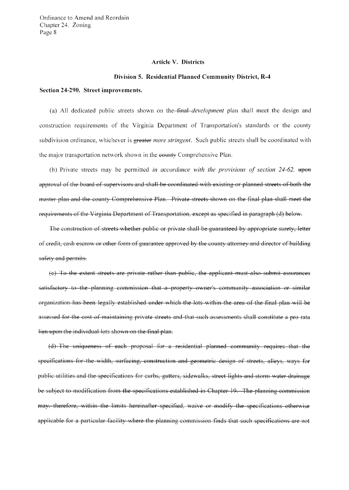Ordinance to Amend and Reordain Chapter 24. Zoning Page 8

#### **Article V. Districts**

#### **Division 5. Residential Planned Community District, R-4**

#### **Section 24-290. Street improvements.**

(a) All dedicated public streets shown on the- $\overline{f}$ *fthal-development* plan shall meet the design and construction requirements of the Virginia Department of Transportation's standards or the county subdivision ordinance, whichever is greater *more stringent.* Such public streets shall be coordinated with the major transportation network shown in the eounty Comprehensive Plan.

(b) Private streets may be permitted *in accordance with the provisions of section 24-62*. then approval of the board of supervisors and shall be coordinated with existing or planned streets of both the master plan and the county Comprehensive Plan. Private streets shown on the final plan shall meet the requirements of the Virginia Department of Transportation, except as specified in paragraph (d) below.

The construction of streets whether public or private shall be guaranteed by appropriate surety, letter of credit, cash escrow or other form of guarantee approved by the county attorney and director of building safety and permits.

(c) To the extent streets are private rather than public, the applicant must also submit assurances satisfactory to the planning commission that a property owner's community association or similar organization has been legally established under which the lots within the area of the final plan will be assessed for the cost of maintaining private streets and that such assessments shall constitute a pro rata lien upon the individual lots shown on the final plan.

(d) The uniqueness of each proposal for a residential planned community requires that the specifications for the width, surfacing, construction and geometric design of streets, alleys, ways for public utilities and the specifications for curbs, gutters, sidewalks, street lights and storm water drainage be subject to modification from the specifications established in Chapter 19. The planning commission may, therefore, within the limits hereinafter specified, waive or modify the specifications otherwise applicable for a particular facility where the planning commission finds that such specifications are not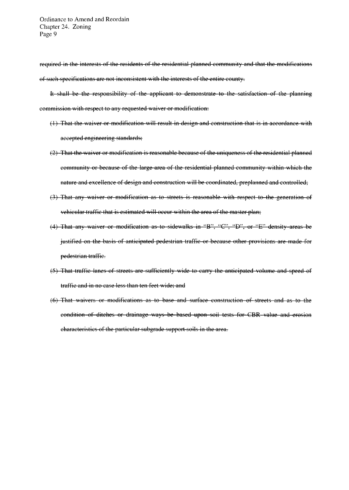required in the interests of the residents of the residential planned community and that the modifications of such specifications are not inconsistent with the interests of the entire county.

It shall be the responsibility of the applicant to demonstrate to the satisfaction of the planning commission with respect to any requested waiver or modification:

- $(1)$  That the waiver or modification will result in design and construction that is in accordance with accepted engineering standards;
- (2) That the waiver or modification is reasonable because of the uniqueness of the residential planned community or because of the large area of the residential planned community within which the nature and excellence of design and construction will be coordinated, preplanned and controlled;
- (3) That any waiver or modification as to streets is reasonable with respect to the generation of vehicular traffic that is estimated will occur within the area of the master plan;
- (4) That any waiver or modification as to sidewalks in "B", "C", "D", or "E" density areas be justified on the basis of anticipated pedestrian traffic or because other provisions are made for pedestrian traffic.
- (5) That traffic lanes of streets are sufficiently wide to carry the anticipated volume and speed of traffic and in no case less than ten feet wide; and
- (6) That waivers or modifications as to base and surface construction of streets and as to the condition of ditches or drainage ways be based upon soil tests for CBR value and erosion characteristics of the particular subgrade support soils in the area.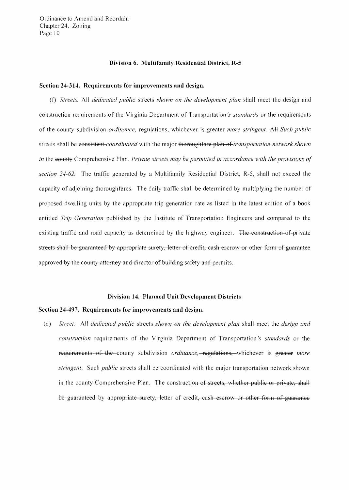Ordinance to Amend and Reordain Chapter 24. Zoning Page 10

#### **Division 6. Multifamily Residential District, R-5**

### **Section 24-314. Requirements for improvements and design.**

*(f) Streets.* All *dedicated public streets shown on the development plan shall meet the design and* construction requirements of the Virginia Department of Transportation's *standards* or the requirements ef-t11€-county subdivision *ordinance,* regulations, whichever is greater *more stringent.* A+l: *Such public*  streets shall be eensistent-*coordinated* with the major thoroughfare plan of *transportation network shown in* the e<del>ounty</del> Comprehensive Plan. *Private streets may be permitted in accordance with the provisions of section* 24-62. The traffic generated by a Multifamily Residential District, R-5, shall not exceed the capacity of adjoining thoroughfares. The daily traffic shall be determined by multiplying the number of proposed dwelling units by the appropriate trip generation rate as listed in the latest edition of a book entitled *Trip Generation* published by the Institute of Transportation Engineers and compared to the existing traffic and road capacity as determined by the highway engineer. The construction of private streets shall-be guaranteed by appropriate surety, letter of credit, cash escrow or other form of guarantee approved by the county attorney and director of building safety and permits.

#### **Division 14. Planned Unit Development Districts**

#### **Section 24-497. Requirements for improvements and design.**

(d) *Street.* All *dedicated public* streets *shown on the development plan* shall meet the *design and construction* requirements of the Virginia Department of Transportation's *standards* or the requirements of the county subdivision *ordinance,* regulations, whichever is greater *more stringent.* Such *public* streets shall be coordinated with the major transportation network shown in the eounty Comprehensive Plan.—The construction of streets, whether public or private, shall be guaranteed by appropriate surety, letter of credit, eash escrow or other form of guarantee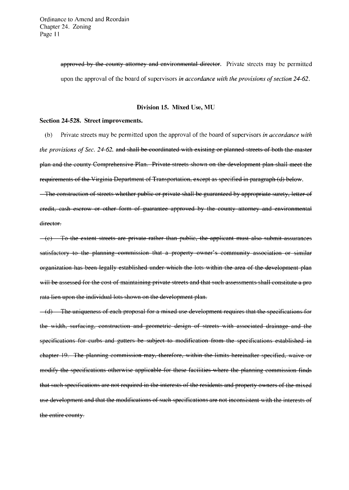approved by the county attorney and environmental director. Private streets may be permitted upon the approval of the board of supervisors *in accordance with the provisions of section* 24-62.

#### Division 15. Mixed Use, MU

#### Section 24-528. Street improvements.

(b) Private streets may be permitted upon the approval of the board of supervisors *in accordance with the provisions of Sec. 24-62. and shall be coordinated with existing or planned streets of both the master* plan and the county Comprehensive Plan. Private streets shown on the development plan shall meet the requirements of the Virginia Department of Transportation, except as specified in paragraph (d) below.

The construction of streets whether public or private shall be guaranteed by appropriate surety, letter of credit, cash escrow or other form of guarantee approved by the county attorney and environmental director.

 $-(e)$  To the extent streets are private rather than public, the applicant must also submit assurances satisfactory to the planning commission that a property owner's community association or similar organization has been legally established under which the lots within the area of the development plan will be assessed for the cost of maintaining private streets and that such assessments shall constitute a prorata lien upon the individual lots shown on the development plan.

 $-$ (d) The uniqueness of each proposal for a mixed use development requires that the specifications for the width, surfacing, construction and geometric design of streets with associated drainage and the specifications for curbs and gutters be subject to modification from the specifications established in chapter 19. The planning commission may, therefore, within the limits hereinafter specified, waive or modify the specifications otherwise applicable for these facilities where the planning commission finds that such specifications are not required in the interests of the residents and property owners of the mixed use development and that the modifications of such specifications are not inconsistent with the interests of the entire county.